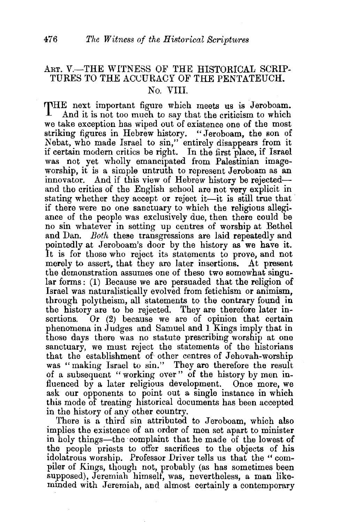## ART. V.-THE WITNESS OF THE HISTORICAL SCRIP-TURES TO THE ACUURACY OF THE PENTATEUCH. No. VIII.

THE next important figure which meets us is Jeroboam.<br>And it is not too much to say that the criticism to which And it is not too much to say that the criticism to which we take exception has wiped out of existence one of the most striking figures in Hebrew history. "Jeroboam, the son of Nebat, who made Israel to sin," entirely disappears from it if certain modern critics be right. In the first place, if Israel was not yet wholly emancipated from Palestinian imageworship, it is a simple untruth to represent Jeroboam as an innovator. And if this view of Hebrew history be rejectedand the critics of the English school are not very explicit in stating whether they accept or reject it-it is still true that if there were no one sanctuary to which the religious allegiance of the people was exclusively due, then there could be no sin whatever in setting up centres of worship at Bethel and Dan. *Both* these transgressions are laid repeatedly and pointedly at Jeroboam's door by the history as we have it. It is for those who reject its statements to prove, and not merely to assert, that they are later insertions. At present the demonstration assumes one of these two somewhat singular forms : (1) Because we are persuaded that the religion of Israel was naturalistically evolved from fetichism or animism, through polytheism, all statements to the contrary found in the history are to be rejected. They are therefore later insertions. Or (2) because we are of opinion that certain phenomena in Judges and Samuel and 1 Kings imply that in those days there was no statute prescribing worship at one sanctuary, we must reject the statements of the historians that the establishment of other centres of Jehovah-worship was "making Israel to sin." They are therefore the result of a subsequent "working over" of the history by men influenced by a later religious development. Once more, we ask our opponents to point out a single instance in which this mode of treating historical documents has been accepted in the history of any other country.

There is a third sin attributed to Jeroboam, which also implies the existence of an order of men set apart to minister in holy things-the ·complaint that he made of the lowest of the people priests to offer sacrifices to the objects of his idolatrous worship. Professor Driver tells us that the "compiler of Kings, though not, probably (as has sometimes been supposed), Jeremiah himself, was, nevertheless, a man likemmded with Jeremiah, and almost certainly a contemporary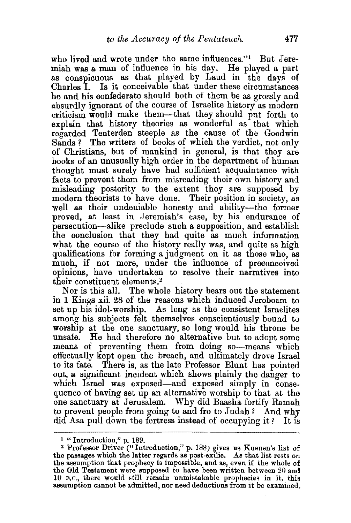who lived and wrote under the same influences."<sup>1</sup> But Jeremiah was a man of influence in his day. He played a part as conspicuous as that played by Laud in the days of Charles I. Is it conceivable that under these circumstances he and his confederate should both of them be as grossly and absurdly ignorant of the course of Israelite history as modern criticism would make them-that they should put forth to explain that history theories as wonderful as that which regarded Tenterden steeple as the cause of the Goodwin Sands? The writers of books of which the verdict, not only of Christians, but of mankind in general, is that they are books of an unusually high order in the department of human thought must surely have had sufficient acquaintance with facts to prevent them from misreading their own history and misleading posterity to the extent they are supposed by modern theorists to have done. Their position in society, as well as their undeniable honesty and ability-the former proved, at least in Jeremiah's case, by his endurance of persecution-alike preclude such a supposition, and establish the conclusion that they had quite as much information what the course of the history really was, and quite as high qualifications for forming a judgment on it as those who, as much, if not more, under the influence of preconceived opinions, have undertaken to resolve their narratives into their constituent elements.2

Nor is this all. The whole history bears out the statement in 1 Kings xii. 28 of the reasons which induced Jeroboam to set up his idol-worship. As long as the consistent Israelites among his subjects felt themselves conscientiously bound to worship at the one sanctuary, so long would his throne be unsafe. He had therefore no alternative but to adopt some means of preventing them from doing so-means which effectually kept open the breach, and ultimately drove Israel to its fate. There is, as the late Professor Blunt has pointed out, a significant incident which shows plainly the danger to which Israel was exposed-and exposed simply in consequence of having set up an alternative worship to that at the one sanctuary at Jerusalem. Why did Baasha fortify Ramah to prevent people from going to and fro to Judah? And why did Asa pull down the fortress instead of occupying it? It is

<sup>&</sup>lt;sup>1</sup> " Introduction," p. 189.<br><sup>2</sup> Professor Driver ("Introduction," p. 188) gives us Kuenen's list of the passages which the latter regards as post-exilic. As that list rests on the assumption that prophecy is impossible, and as, even if the whole of the Old Testament were supposed to have been written between 20 and 10 B.C., there would still remain unmistakable prophecies in it, this assumption cannot be admitted, nor need deductions from it be examined.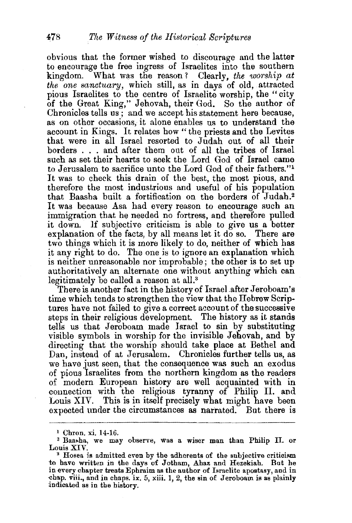obvious that the former wished to discourage and the latter to encourage the free ingress of Israelites into the southern kingdom. What was the reason *1* Clearly, *the worship at the one scmctuary,* which still, as in days of old, attracted pious Israelites to the centre of Israelite worship, the "city of the Great King," Jehovah, their God. So the author of Chronicles tells us ; and we accept his statement here because, as on other occasions, it alone enables us to understand the account in Kings. It relates how" the priests and the Levites that were in all Israel resorted to Judah out of all their borders . . . and after them out of all the tribes of Israel such as set their hearts to seek the Lord God of Israel came to Jerusalem to sacrifice unto the Lord God of their fathers."<sup>1</sup> It was to check this drain of the best, the most pious, and therefore the most industrious and useful of his population that Baasha built a fortification on the borders of Judah.2 It was because Asa had every reason to encourage such an immigration that he needed no fortress, and therefore pulled it down. If subjective criticism is able to give us a better explanation of the facts, by all means let it do so. There are two things which it is more likely to do, neither of which has it any right to do. The one is to ignore an explanation which is neither unreasonable nor improbable; the other is to set up authoritatively an alternate one without anything which can legitimately be called a reason at all.<sup>3</sup>

There is another fact in the history of Israel.after Jeroboam's time which tends to strengthen the view that the Hebrew Scriptures have not failed to give a correct account of the successive steps in their religious development. The history as it stands tells us that Jeroboam made Israel to sin by substituting visible symbols in worship for the invisible Jehovah, and by directing that the worship should take place at Bethel and Dan, instead of at Jerusalem. Chronicles further tells us, as we have just seen, that the consequence was such an exodus of pious Israelites from the northern kingdom as the readers of modern European history are well acquainted with in connection with the religious tyranny of Philip II. and Louis XIV. This is in itself precisely what might have been expected under the circumstances as narrated. But there is

<sup>&</sup>lt;sup>1</sup> Chron. xi. 14-16.<br><sup>2</sup> Baasha, we may observe, was a wiser man than Philip II. or Louis XIV.<br><sup>3</sup> Hosea is admitted even by the adherents of the subjective criticism

to have written in the days of Jotham, Ahaz and Hezekiah. But he in every chapter treats Ephraim as the author of Israelite apostasy, and in ·chap. viii., and in chaps. ix. 5, xiii. 1, 2, the sin of Jeroboam is as plainly indicated as in the history.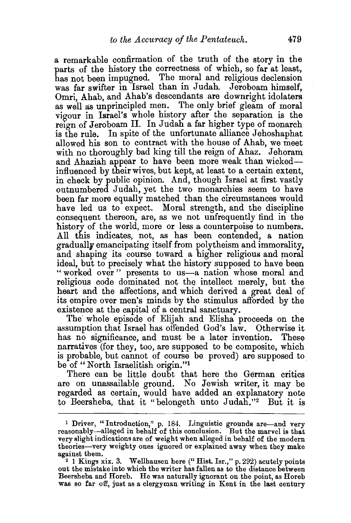a remarkable confirmation of the truth of the story in the parts of the history the correctness of which, so far at least, has not been impugned. The moral and religious declension was far swifter in Israel than in Judah. Jeroboam himself, Omri, Ahab, and Ahab's descendants are downright idolaters as well as unprincipled men. The only brief gleam of moral vigour in Israel's whole history after the separation is the reign of Jeroboam II. In Judah a far higher type of monarch is the rule. In spite of the unfortunate alliance Jehoshaphat allowed his son to contract with the house of Ahab, we meet with no thoroughly bad king till the reign of Ahaz. Jehoram and Ahaziah appear to have been more weak than wickedinfluenced by their wives, but kept, at least to a certain extent, in check by public opinion. And, though Israel at first vastly outnumbered Judah, yet the two monarchies seem to have been far more equally matched than the circumstances would have led us to expect. Moral strength, and the discipline consequent thereon, are, as we not unfrequently find in the history of the world, more or less a counterpoise to numbers. All this indicates, not, as has been contended, a nation gradually emancipating itself from polytheism and immorality, and shaping its course toward a higher religious and moral ideal, but to precisely what the history supposed to have been "worked over" presents to us-a nation whose moral and religious code dominated not the intellect merely, but the heart and the affections, and which derived a great deal of its empire over men's minds by the stimulus afforded by the existence at the capital of a central sanctuary.

The whole episode of Elijah and Elisha proceeds on the assumption that Israel has offended God's law. Otherwise it has no significance, and must be a later invention. These narratives (for they, too, are supposed to be composite, which is probable, but cannot of course be proved) are supposed to. be of "North Israelitish origin."<sup>1</sup>

There can be little doubt that here the German critics are on unassailable ground. No Jewish writer, it may be regarded as certain, would have added an explanatory note to Beersheba, that it "belongeth unto Judah."<sup>2</sup> But it is

<sup>&</sup>lt;sup>1</sup> Driver, "Introduction," p. 184. Linguistic grounds are-and very reasonably-alleged in behalf of this conclusion. But the marvel is that very slight indications are of weight when alleged in behalf of the modern theories—very weighty ones ignored or explained away when they make against them.<br><sup>2</sup> 1 Kings xix. 3. Wellhausen here ("Hist. Isr.," p. 292) acutely points

out the mistake into which the writer has fallen as to the distance between Beersheba and Horeb. He was naturally ignorant on the point, as Horeb was so far off, just as a clergyman writing in Kent in the last century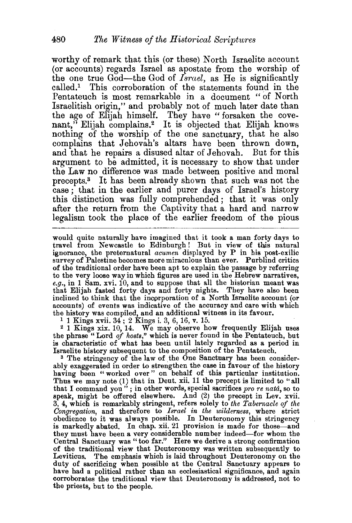worthy of remark that this (or these) North Israelite account (or accounts) regards Israel as apostate from the worship of the one true God-the God of *Israel,* as He is significantly called.1 This corroboration of the statements found in the Pentateuch is most remarkable in a document " of North Israelitish origin," and probably not of much later date than the age of Elijah himself. They have "forsaken the covenant," Elijah complains.2 It is objected that Elijah knows nothing of the worship of the one sanctuary, that he also complains that Jehovah's altars have been thrown down, and that he repairs a disused altar of Jehovah. But for this argument to be admitted, it is necessary to show that under the Law no difference was made between positive and moral precepts.3 It has been already shown that such was not the case; that in the earlier and purer days of Israel's history this distinction was fully comprehended; that it was only after the return from the Captivity that a hard and narrow legalism took the place of the earlier freedom of the pious

would quite naturally have imagined that it took a man forty days to travel from Newcastle to Edinburgh! But in view of this natural ignorance, the preternatural *acumen* displayed by P in his post-exilic survey of Palestine becomes more miraculous than ever. Purblind critics of the traditional order have been apt. to explain the passage by referring to the very loose way in which figures are used in the Hebrew narratives,  $e.g.,$  in 1 Sam. xvi. 10, and to suppose that all the historian meant was that Elijah fasted forty days and forty nights. They have also been inclined to think that the incprporation of a North Israelite account (or accounts) of events was indicative of the accuracy and care with which the history was compiled, and an additional witness in its favour.

1 1 Kings xvii. 34 ; 2 Kings i. 3, 6, 16, v. 15.

<sup>~</sup>1 Kings xix. 10, 14. We may observe how frequently Elijah uses the phrase "Lord *of hosts,"* which is never found in the Pentateuch, but is characteristic of what has been until lately regarded as a period in Israelite history subsequent to the composition of the Pentateuch. 3 The stringency of the law of the One Sanctuary has been consider-

ably exaggerated in order to strengthen the case in favour of the history having been "worked over" on behalf of this particular institution. Thus we may note (1) that in Deut. xii. 11 the precept is limited to "all that I command you " ; in other words, special sacrifices *pro re nata,* so to speak, might be offered elsewhere. And (2) the precept in Lev. xvii. 3, 4, which is remarkably stringent, refers solely to *the Tabernacle of the*  Congregation, and therefore to *Israel in the wilderness*, where strict obedience to it was always possible. In Deuteronomy this stringency is markedly abated. In chap. xii. 21 provision is made for those-and they must have been a very considerable number indeed-for whom the Central Sanctuary was "too far." Here we derive a strong confirmation of the traditional view that Deuteronomy was written subsequently to Leviticus. The emphasis which is laid throughout Deuteronomy on the duty of sacrificing when possible at the Central Sanctuary appears to have had a political rather than an ecclesiastical significance, and again corroborates the traditional view that Deuteronomy is addressed, not to the priests, but to the people.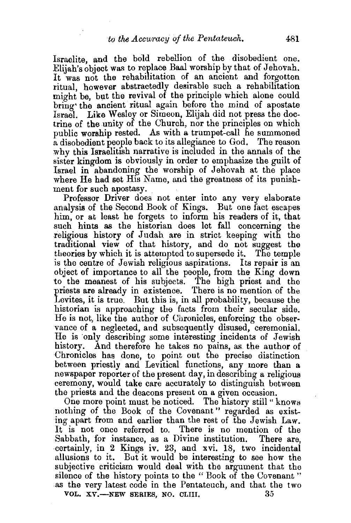Israelite, and the bold rebellion of the disobedient one. Elijah's object was to replace Baal worship by that of Jehovah. It was not the rehabilitation of an ancient and forgotten ritual. however abstractedly desirable such a rehabilitation might be, but the revival of the principle which alone could bring the ancient ritual again before the mind of apostate Israel. Like Wesley or Simeon, Elijah did not press the doctrine of the unity of the Church, nor the principles on which public worship rested. As with a trumpet-call he summoned a disobedient people back to its allegiance to God. The reason why this Israelitish narrative is included in the annals of the sister kingdom is obviously in order to emphasize the guilt of Israel in abandoning the worship of Jehovah at the place where He had set His Name, and the greatness of its punishment for such apostasy.

Professor Driver does not enter into any very elaborate .analysis of the Second Book of Kings. But one fact escapes him, or at least he forgets to inform his readers of it, that such hints as the historian does let fall concerning the religious history of Judah are in strict keeping with the traditional view of that history, and do not suggest the theories by which it is attempted to supersede it. The temple is the centre of Jewish religious aspirations. Its repair is an object of importance to all the people, from the King down to the meanest of his subjects. The high priest and the priests are already in existence. There is no mention of the Levites, it is true. But this is, in all probability, because the historian is approaching the facts from their secular side. He is not, like the author of Uhronicles, enforcing the observance of a neglected, and subsequently disused, ceremonial. He is only describing some interesting incidents of Jewish history. And therefore he takes no pains, as. the author of Chronicles has done, to point out the precise distinction between priestly and Levitical functions, any more than a newspaper reporter of the present day, in describing a religious ceremony, would take care accurately to distinguish between the priests and the deacons present on a given occasion.

One more point must be noticed. The history still " knows nothing of the Book of the Covenant " regarded as existing apart from and earlier than the rest of the Jewish Law. It is not once referred to. There is no mention of the Sabbath, for instance, as a Divine institution. There are, certainly, in 2 Kings iv. 23, and xvi. 18, two incidental allusions to it. But it would be interesting to see how the subjective criticism would deal with the argument that the silence of the history points to the "Book of the Covenant" as the very latest code in the Pentateuch, and that the two VOL.  $XY$ —NEW SERIES, NO. CLIII.  $35$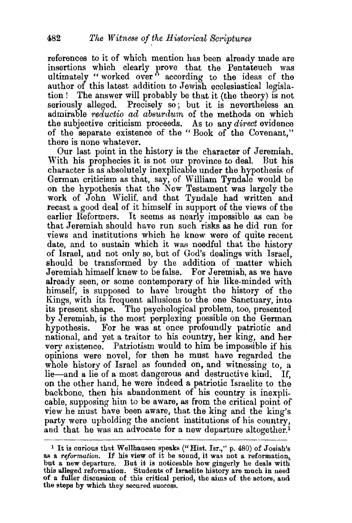references to it of which mention has been already made are insertions which clearly prove that the Pentateuch was ultimately "worked over" according to the ideas of the author of this latest addition to Jewish ecclesiastical legislation ! The answer will probably be that it (the theory) is not seriously alleged. Precisely so; but it is nevertheless an admirable *reductio* ad *absurdum,* of the methods on which the subjective criticism proceeds. As to any *direct* evidence of the separate existence of the " Book of the Covenant," there is none whatever.

Our last point in the history is the character of Jeremiah. With his prophecies it is not our province to deal. But his character 1s as absolutely inexplicable under the hypothesis of German criticism as that, say, of William Tyndale would be on the hypothesis that the New Testament was largely the work of John Wiclif, and that Tyndale had written and recast a good deal of it himself in support of the views of the earlier Reformers. It seems as nearly impossible as can be that Jeremiah should have run such risks as he did run for views and institutions which he knew were of quite recent date, and to sustain which it was needful that the history of Israel, and not only so, but of God's dealings with Israel, should be transformed by the addition of matter which Jeremiah himself knew to be false. For Jeremiah, as we have already seen, or some contemporary of his like-minded with himself, is supposed to have brought the history of the Kings, with its frequent allusions to the one Sanctuary, into its present shape. The psychological problem, too, presented by Jeremiah, is the most perplexing possible on the German hypothesis. For he was at once profoundly patriotic and national, and yet a traitor to his country, her king, and her very existence. Patriotism would to him be impossible if his opinions were novel, for then he must have regarded the whole history of Israel as founded on, and witnessing to, a lie-and a lie of a most dangerous and destructive kind. If, on the other hand, he were indeed a patriotic Israelite to the backbone, then his abandonment of his country is inexplicable, supposing him to be aware, as from the critical point of view he must have been aware, that the king and the king's party were upholding the ancient institutions of his country, and that he was an advocate for a new departure altogether.<sup>1</sup>

~·-·-·-----------~·

<sup>&</sup>lt;sup>1</sup> It is curious that Wellhausen speaks ("Hist. Isr.," p. 480) of Josiah's as a *reformation*. If his view of it be sound, it was not a reformation, but a new departure. But it is noticeable how gingerly be deals with this alleged reformation. Students of Israelite history are much in need of a fuller discussion of this critical period, the aims of the actors, and the steps by which they secured success.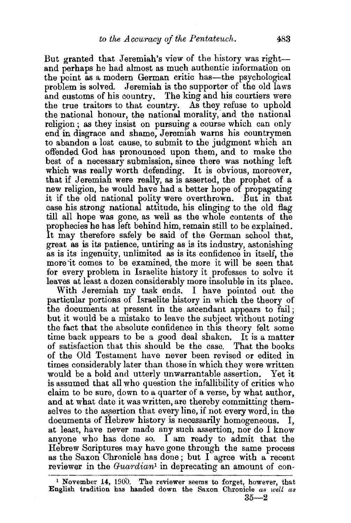But granted that Jeremiah's view of the history was rightand perhaps he had almost as much authentic information on the point as a modern German critic has-the psychological problem is solved. Jeremiah is the supporter of the old laws and customs of his country. The king and his courtiers were the true traitors to that country. As they refuse to uphold the national honour, the national morality, and the national religion ; as they insist on pursuing a course which can only end in disgrace and shame, Jeremiah warns his countrymen to abandon a lost cause, to submit to the judgment which an offended God has pronounced upon them, and to make the best of a necessary submission, since there was nothing left which was really worth defending. It is obvious, moreover, that if Jeremiah were really, as is asserted, the prophet of a new religion, he would have had a better hope of propagating it if the old national polity were overthrown. ·But in that case his strong national attitude, his clinging to the old flag till all hope was gone, as well as the whole contents of the prophecies he has left behind him, remain still to be explained. It may therefore safely be said of the German school that, great as is its patience, untiring as is its industry, astonishing as is its ingenuity, unlimited as is its confidence in itself, the more'it comes to be examined, the more it will be seen that for every problem in Israelite history it professes to solve it leaves at least a dozen considerably more insoluble in its place.

With Jeremiah my task ends. I have pointed out the particular portions of Israelite history in which the theory of the documents at present in the ascendant appears to fail; but it would be a mistake to leave the subject without noting the fact that the absolute confidence in this theory felt some time back appears to be a good deal shaken. It is a matter of satisfaction that this should be the case. of the Old Testament have never been revised or edited in times considerably later than those in which they were written would be a bold and utterly unwarrantable assertion. Yet it is assumed that all who question the infallibility of critics who claim to be sure, down to a quarter of a verse, by what author, and at what date it was written, are thereby committing themselves to the assertion that every line, if not every word, in the documents of Hebrew history is necessarily homogeneous. at least, have never made any such assertion, nor do I know anyone who has done so. I am ready to admit that the Hebrew Scriptures may have gone through the same process as the Saxon Chronicle has done ; but I agree with a recent reviewer in the *Guardian1* in deprecating an amount of con-

<sup>&</sup>lt;sup>1</sup> November 14, 1900. The reviewer seems to forget, however, that English tradition has handed down the Saxon Chronicle *as well as*   $35-2$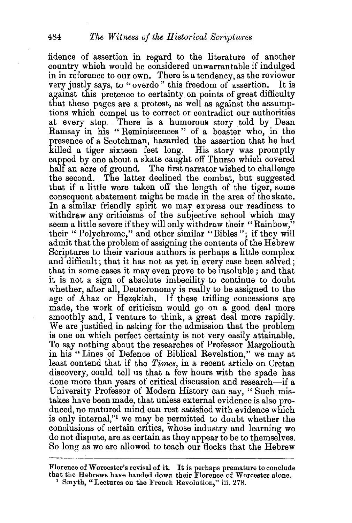fidence of assertion in regard to the literature of another country which would be considered unwarrantable if indulged in in reference to our own. There is a tendency, as the reviewer very justly says, to "overdo" this freedom of assertion. It is against this pretence to certainty on points of great difficulty that these pages are a protest, as well as against the assumptions which compel us to correct or contradict our authorities at every step. There is a humorous story told by Dean Ramsay in his "Reminiscences" of a boaster who, in the presence of a Scotchman, hazarded the assertion that he had killed a tiger sixteen feet long. His story was promptly capped by one about a skate caught off Thurso which covered half an acre of ground. The first narrator wished to challenge the second. The latter declined the combat, but suggested that if a little were taken oft' the length of the tiger, some consequent abatement might be made in the area of the skate. In a similar friendly spirit we may express our readiness to withdraw any criticisms of the subjective school which may seem a little severe if they will only withdraw their "Rainbow," their " Polychrome," and other similar "Bibles"; if they will admit that the problem of assigning the contents of the Hebrew Scriptures to their various authors is perhaps a little complex and difficult; that it has not as yet in every case been solved; that in some cases it may even prove to be insoluble ; and that it is not a sign of absolute imbecility to continue to doubt whether, after all, Deuteronomy is really to be assigned to the age of Ahaz or Hezekiah. If these trifling concessions are made, the work of criticism would go on a good deal more smoothly and, I venture to think, a great deal more rapidly. We are justified in asking for the admission that the problem is one on which perfect certainty is not very easily attainable. To say nothing about the researches of Professor Margoliouth in his "Lines of Defence of Biblical Revelation," we may at least contend that if the *Times,* in a recent article on Cretan discovery, could tell us that a few hours with the spade has done more than years of critical discussion and research-if a University Professor of Modern History can say, "Such mistakes have been made, that unless external evidence is also produced, no matured mind can rest satisfied with evidence which is only internal,"1 we may be permitted to doubt whether the conclusions of certain critics, whose industry and learning we do not dispute, are as certain as they appear to be to themselves. So long as we are allowed to teach our flocks that the Hebrew

Florence of Worcester's revisal of it. It is perhaps premature to conclude that tbe Hebrews have handed down their Florence of Worcester alone. 1 Smyth, "Lectures on the French Revolution," iii. 278.